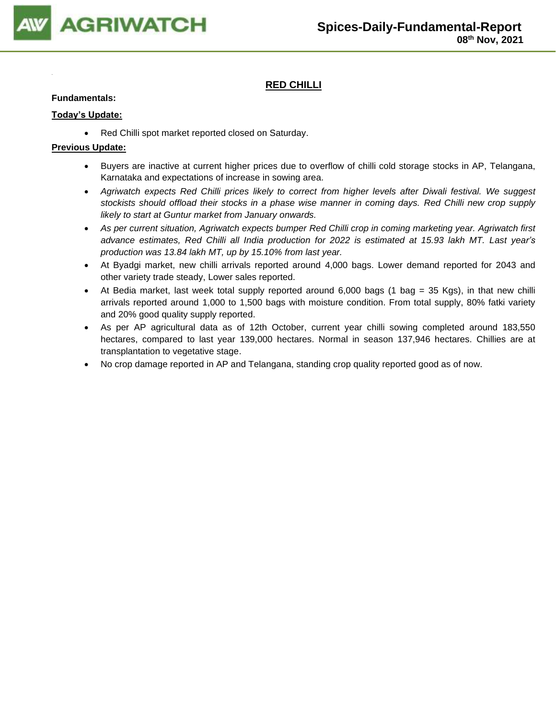

# **RED CHILLI**

### **Fundamentals:**

## **Today's Update:**

• Red Chilli spot market reported closed on Saturday.

- Buyers are inactive at current higher prices due to overflow of chilli cold storage stocks in AP, Telangana, Karnataka and expectations of increase in sowing area.
- *Agriwatch expects Red Chilli prices likely to correct from higher levels after Diwali festival. We suggest stockists should offload their stocks in a phase wise manner in coming days. Red Chilli new crop supply likely to start at Guntur market from January onwards.*
- *As per current situation, Agriwatch expects bumper Red Chilli crop in coming marketing year. Agriwatch first advance estimates, Red Chilli all India production for 2022 is estimated at 15.93 lakh MT. Last year's production was 13.84 lakh MT, up by 15.10% from last year.*
- At Byadgi market, new chilli arrivals reported around 4,000 bags. Lower demand reported for 2043 and other variety trade steady, Lower sales reported.
- At Bedia market, last week total supply reported around 6,000 bags (1 bag = 35 Kgs), in that new chilli arrivals reported around 1,000 to 1,500 bags with moisture condition. From total supply, 80% fatki variety and 20% good quality supply reported.
- As per AP agricultural data as of 12th October, current year chilli sowing completed around 183,550 hectares, compared to last year 139,000 hectares. Normal in season 137,946 hectares. Chillies are at transplantation to vegetative stage.
- No crop damage reported in AP and Telangana, standing crop quality reported good as of now.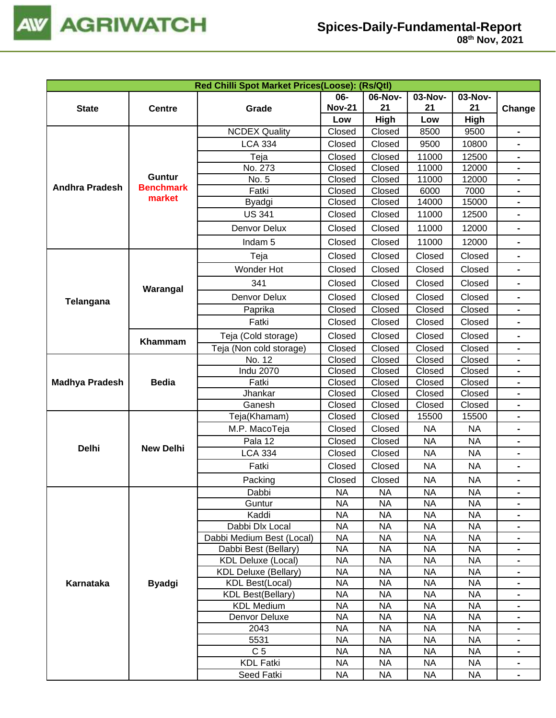

|  | 08th Nov, 2021 |  |
|--|----------------|--|
|--|----------------|--|

| 06-<br>06-Nov-<br>03-Nov-<br>03-Nov-<br><b>Nov-21</b><br>21<br>21<br>21<br><b>State</b><br>Grade<br><b>Centre</b><br>Change<br>High<br>High<br>Low<br>Low<br><b>NCDEX Quality</b><br>Closed<br>9500<br>Closed<br>8500<br>$\blacksquare$<br><b>LCA 334</b><br>Closed<br>Closed<br>9500<br>10800<br>Closed<br>12500<br>Teja<br>Closed<br>11000<br>$\blacksquare$<br>No. 273<br>Closed<br>Closed<br>11000<br>12000<br><b>Guntur</b><br>Closed<br>11000<br>12000<br>No. 5<br>Closed<br><b>Andhra Pradesh</b><br><b>Benchmark</b><br>Fatki<br>Closed<br>Closed<br>6000<br>7000<br>market<br>Closed<br>Closed<br>14000<br>15000<br>Byadgi<br><b>US 341</b><br>Closed<br>Closed<br>11000<br>12500<br>Closed<br>11000<br>12000<br>Denvor Delux<br>Closed<br>$\blacksquare$<br>Closed<br>Closed<br>11000<br>12000<br>Indam <sub>5</sub><br>Closed<br>Teja<br>Closed<br>Closed<br>Closed<br>$\blacksquare$<br>Wonder Hot<br>Closed<br>Closed<br>Closed<br>Closed<br>$\blacksquare$<br>341<br>Closed<br>Closed<br>Closed<br>Closed<br>Warangal<br>Closed<br>Closed<br>Denvor Delux<br>Closed<br>Closed<br>$\blacksquare$<br>Telangana<br>Closed<br>Closed<br>Closed<br>Closed<br>Paprika<br>Fatki<br>Closed<br>Closed<br>Closed<br>Closed<br>Teja (Cold storage)<br>Closed<br>Closed<br>Closed<br>Closed<br>$\blacksquare$<br>Khammam<br>Teja (Non cold storage)<br>Closed<br>Closed<br>Closed<br>Closed<br>No. 12<br>Closed<br>Closed<br>Closed<br>Closed<br><b>Indu 2070</b><br>Closed<br>Closed<br>Closed<br>Closed<br>$\blacksquare$<br><b>Bedia</b><br>Fatki<br>Closed<br>Closed<br><b>Madhya Pradesh</b><br>Closed<br>Closed<br>Jhankar<br>Closed<br>Closed<br>Closed<br>Closed<br>Closed<br>Closed<br>Ganesh<br>Closed<br>Closed<br>Teja(Khamam)<br>Closed<br>Closed<br>15500<br>15500<br>Closed<br>Closed<br><b>NA</b><br><b>NA</b><br>M.P. MacoTeja<br>-<br>Pala 12<br>Closed<br>Closed<br><b>NA</b><br><b>NA</b><br>$\blacksquare$<br><b>Delhi</b><br><b>New Delhi</b><br><b>LCA 334</b><br>Closed<br><b>NA</b><br><b>NA</b><br>Closed<br>Fatki<br>Closed<br>Closed<br><b>NA</b><br><b>NA</b><br>Closed<br>Closed<br><b>NA</b><br><b>NA</b><br>Packing<br>Dabbi<br><b>NA</b><br><b>NA</b><br><b>NA</b><br><b>NA</b><br>$\blacksquare$<br>Guntur<br><b>NA</b><br><b>NA</b><br><b>NA</b><br><b>NA</b><br>$\blacksquare$<br>Kaddi<br><b>NA</b><br><b>NA</b><br><b>NA</b><br><b>NA</b><br>$\blacksquare$<br><b>NA</b><br><b>NA</b><br>Dabbi Dlx Local<br><b>NA</b><br><b>NA</b><br>$\blacksquare$<br><b>NA</b><br><b>NA</b><br><b>NA</b><br><b>NA</b><br>Dabbi Medium Best (Local)<br>$\blacksquare$<br><b>NA</b><br><b>NA</b><br><b>NA</b><br><b>NA</b><br>Dabbi Best (Bellary)<br><b>NA</b><br><b>NA</b><br><b>NA</b><br><b>NA</b><br><b>KDL Deluxe (Local)</b><br><b>NA</b><br><b>KDL Deluxe (Bellary)</b><br><b>NA</b><br><b>NA</b><br><b>NA</b><br><b>NA</b><br><b>NA</b><br><b>NA</b><br><b>NA</b><br><b>KDL Best(Local)</b><br>Karnataka<br><b>Byadgi</b><br><b>NA</b><br><b>NA</b><br><b>NA</b><br><b>NA</b><br><b>KDL Best(Bellary)</b><br><b>NA</b><br><b>KDL Medium</b><br><b>NA</b><br><b>NA</b><br><b>NA</b><br>$\blacksquare$<br><b>NA</b><br>Denvor Deluxe<br><b>NA</b><br><b>NA</b><br><b>NA</b><br><b>NA</b><br>2043<br><b>NA</b><br><b>NA</b><br><b>NA</b><br>$\blacksquare$<br>5531<br><b>NA</b><br><b>NA</b><br><b>NA</b><br><b>NA</b><br>$\blacksquare$<br>C <sub>5</sub><br><b>NA</b><br><b>NA</b><br><b>NA</b><br><b>NA</b><br>$\blacksquare$<br><b>KDL Fatki</b><br><b>NA</b><br><b>NA</b><br><b>NA</b><br><b>NA</b><br>$\blacksquare$ |  | Red Chilli Spot Market Prices(Loose): (Rs/Qtl) |  |  |  |
|-----------------------------------------------------------------------------------------------------------------------------------------------------------------------------------------------------------------------------------------------------------------------------------------------------------------------------------------------------------------------------------------------------------------------------------------------------------------------------------------------------------------------------------------------------------------------------------------------------------------------------------------------------------------------------------------------------------------------------------------------------------------------------------------------------------------------------------------------------------------------------------------------------------------------------------------------------------------------------------------------------------------------------------------------------------------------------------------------------------------------------------------------------------------------------------------------------------------------------------------------------------------------------------------------------------------------------------------------------------------------------------------------------------------------------------------------------------------------------------------------------------------------------------------------------------------------------------------------------------------------------------------------------------------------------------------------------------------------------------------------------------------------------------------------------------------------------------------------------------------------------------------------------------------------------------------------------------------------------------------------------------------------------------------------------------------------------------------------------------------------------------------------------------------------------------------------------------------------------------------------------------------------------------------------------------------------------------------------------------------------------------------------------------------------------------------------------------------------------------------------------------------------------------------------------------------------------------------------------------------------------------------------------------------------------------------------------------------------------------------------------------------------------------------------------------------------------------------------------------------------------------------------------------------------------------------------------------------------------------------------------------------------------------------------------------------------------------------------------------------------------------------------------------------------------------------------------------------------------------------------------------------------------------------------------------------------------------------------------------------------------------------------------------------------------------------------------------------------------------------------------------------------------------------------------------|--|------------------------------------------------|--|--|--|
|                                                                                                                                                                                                                                                                                                                                                                                                                                                                                                                                                                                                                                                                                                                                                                                                                                                                                                                                                                                                                                                                                                                                                                                                                                                                                                                                                                                                                                                                                                                                                                                                                                                                                                                                                                                                                                                                                                                                                                                                                                                                                                                                                                                                                                                                                                                                                                                                                                                                                                                                                                                                                                                                                                                                                                                                                                                                                                                                                                                                                                                                                                                                                                                                                                                                                                                                                                                                                                                                                                                                                           |  |                                                |  |  |  |
|                                                                                                                                                                                                                                                                                                                                                                                                                                                                                                                                                                                                                                                                                                                                                                                                                                                                                                                                                                                                                                                                                                                                                                                                                                                                                                                                                                                                                                                                                                                                                                                                                                                                                                                                                                                                                                                                                                                                                                                                                                                                                                                                                                                                                                                                                                                                                                                                                                                                                                                                                                                                                                                                                                                                                                                                                                                                                                                                                                                                                                                                                                                                                                                                                                                                                                                                                                                                                                                                                                                                                           |  |                                                |  |  |  |
|                                                                                                                                                                                                                                                                                                                                                                                                                                                                                                                                                                                                                                                                                                                                                                                                                                                                                                                                                                                                                                                                                                                                                                                                                                                                                                                                                                                                                                                                                                                                                                                                                                                                                                                                                                                                                                                                                                                                                                                                                                                                                                                                                                                                                                                                                                                                                                                                                                                                                                                                                                                                                                                                                                                                                                                                                                                                                                                                                                                                                                                                                                                                                                                                                                                                                                                                                                                                                                                                                                                                                           |  |                                                |  |  |  |
|                                                                                                                                                                                                                                                                                                                                                                                                                                                                                                                                                                                                                                                                                                                                                                                                                                                                                                                                                                                                                                                                                                                                                                                                                                                                                                                                                                                                                                                                                                                                                                                                                                                                                                                                                                                                                                                                                                                                                                                                                                                                                                                                                                                                                                                                                                                                                                                                                                                                                                                                                                                                                                                                                                                                                                                                                                                                                                                                                                                                                                                                                                                                                                                                                                                                                                                                                                                                                                                                                                                                                           |  |                                                |  |  |  |
|                                                                                                                                                                                                                                                                                                                                                                                                                                                                                                                                                                                                                                                                                                                                                                                                                                                                                                                                                                                                                                                                                                                                                                                                                                                                                                                                                                                                                                                                                                                                                                                                                                                                                                                                                                                                                                                                                                                                                                                                                                                                                                                                                                                                                                                                                                                                                                                                                                                                                                                                                                                                                                                                                                                                                                                                                                                                                                                                                                                                                                                                                                                                                                                                                                                                                                                                                                                                                                                                                                                                                           |  |                                                |  |  |  |
|                                                                                                                                                                                                                                                                                                                                                                                                                                                                                                                                                                                                                                                                                                                                                                                                                                                                                                                                                                                                                                                                                                                                                                                                                                                                                                                                                                                                                                                                                                                                                                                                                                                                                                                                                                                                                                                                                                                                                                                                                                                                                                                                                                                                                                                                                                                                                                                                                                                                                                                                                                                                                                                                                                                                                                                                                                                                                                                                                                                                                                                                                                                                                                                                                                                                                                                                                                                                                                                                                                                                                           |  |                                                |  |  |  |
|                                                                                                                                                                                                                                                                                                                                                                                                                                                                                                                                                                                                                                                                                                                                                                                                                                                                                                                                                                                                                                                                                                                                                                                                                                                                                                                                                                                                                                                                                                                                                                                                                                                                                                                                                                                                                                                                                                                                                                                                                                                                                                                                                                                                                                                                                                                                                                                                                                                                                                                                                                                                                                                                                                                                                                                                                                                                                                                                                                                                                                                                                                                                                                                                                                                                                                                                                                                                                                                                                                                                                           |  |                                                |  |  |  |
|                                                                                                                                                                                                                                                                                                                                                                                                                                                                                                                                                                                                                                                                                                                                                                                                                                                                                                                                                                                                                                                                                                                                                                                                                                                                                                                                                                                                                                                                                                                                                                                                                                                                                                                                                                                                                                                                                                                                                                                                                                                                                                                                                                                                                                                                                                                                                                                                                                                                                                                                                                                                                                                                                                                                                                                                                                                                                                                                                                                                                                                                                                                                                                                                                                                                                                                                                                                                                                                                                                                                                           |  |                                                |  |  |  |
|                                                                                                                                                                                                                                                                                                                                                                                                                                                                                                                                                                                                                                                                                                                                                                                                                                                                                                                                                                                                                                                                                                                                                                                                                                                                                                                                                                                                                                                                                                                                                                                                                                                                                                                                                                                                                                                                                                                                                                                                                                                                                                                                                                                                                                                                                                                                                                                                                                                                                                                                                                                                                                                                                                                                                                                                                                                                                                                                                                                                                                                                                                                                                                                                                                                                                                                                                                                                                                                                                                                                                           |  |                                                |  |  |  |
|                                                                                                                                                                                                                                                                                                                                                                                                                                                                                                                                                                                                                                                                                                                                                                                                                                                                                                                                                                                                                                                                                                                                                                                                                                                                                                                                                                                                                                                                                                                                                                                                                                                                                                                                                                                                                                                                                                                                                                                                                                                                                                                                                                                                                                                                                                                                                                                                                                                                                                                                                                                                                                                                                                                                                                                                                                                                                                                                                                                                                                                                                                                                                                                                                                                                                                                                                                                                                                                                                                                                                           |  |                                                |  |  |  |
|                                                                                                                                                                                                                                                                                                                                                                                                                                                                                                                                                                                                                                                                                                                                                                                                                                                                                                                                                                                                                                                                                                                                                                                                                                                                                                                                                                                                                                                                                                                                                                                                                                                                                                                                                                                                                                                                                                                                                                                                                                                                                                                                                                                                                                                                                                                                                                                                                                                                                                                                                                                                                                                                                                                                                                                                                                                                                                                                                                                                                                                                                                                                                                                                                                                                                                                                                                                                                                                                                                                                                           |  |                                                |  |  |  |
|                                                                                                                                                                                                                                                                                                                                                                                                                                                                                                                                                                                                                                                                                                                                                                                                                                                                                                                                                                                                                                                                                                                                                                                                                                                                                                                                                                                                                                                                                                                                                                                                                                                                                                                                                                                                                                                                                                                                                                                                                                                                                                                                                                                                                                                                                                                                                                                                                                                                                                                                                                                                                                                                                                                                                                                                                                                                                                                                                                                                                                                                                                                                                                                                                                                                                                                                                                                                                                                                                                                                                           |  |                                                |  |  |  |
| Seed Fatki<br><b>NA</b><br><b>NA</b><br><b>NA</b><br><b>NA</b>                                                                                                                                                                                                                                                                                                                                                                                                                                                                                                                                                                                                                                                                                                                                                                                                                                                                                                                                                                                                                                                                                                                                                                                                                                                                                                                                                                                                                                                                                                                                                                                                                                                                                                                                                                                                                                                                                                                                                                                                                                                                                                                                                                                                                                                                                                                                                                                                                                                                                                                                                                                                                                                                                                                                                                                                                                                                                                                                                                                                                                                                                                                                                                                                                                                                                                                                                                                                                                                                                            |  |                                                |  |  |  |
|                                                                                                                                                                                                                                                                                                                                                                                                                                                                                                                                                                                                                                                                                                                                                                                                                                                                                                                                                                                                                                                                                                                                                                                                                                                                                                                                                                                                                                                                                                                                                                                                                                                                                                                                                                                                                                                                                                                                                                                                                                                                                                                                                                                                                                                                                                                                                                                                                                                                                                                                                                                                                                                                                                                                                                                                                                                                                                                                                                                                                                                                                                                                                                                                                                                                                                                                                                                                                                                                                                                                                           |  |                                                |  |  |  |
|                                                                                                                                                                                                                                                                                                                                                                                                                                                                                                                                                                                                                                                                                                                                                                                                                                                                                                                                                                                                                                                                                                                                                                                                                                                                                                                                                                                                                                                                                                                                                                                                                                                                                                                                                                                                                                                                                                                                                                                                                                                                                                                                                                                                                                                                                                                                                                                                                                                                                                                                                                                                                                                                                                                                                                                                                                                                                                                                                                                                                                                                                                                                                                                                                                                                                                                                                                                                                                                                                                                                                           |  |                                                |  |  |  |
|                                                                                                                                                                                                                                                                                                                                                                                                                                                                                                                                                                                                                                                                                                                                                                                                                                                                                                                                                                                                                                                                                                                                                                                                                                                                                                                                                                                                                                                                                                                                                                                                                                                                                                                                                                                                                                                                                                                                                                                                                                                                                                                                                                                                                                                                                                                                                                                                                                                                                                                                                                                                                                                                                                                                                                                                                                                                                                                                                                                                                                                                                                                                                                                                                                                                                                                                                                                                                                                                                                                                                           |  |                                                |  |  |  |
|                                                                                                                                                                                                                                                                                                                                                                                                                                                                                                                                                                                                                                                                                                                                                                                                                                                                                                                                                                                                                                                                                                                                                                                                                                                                                                                                                                                                                                                                                                                                                                                                                                                                                                                                                                                                                                                                                                                                                                                                                                                                                                                                                                                                                                                                                                                                                                                                                                                                                                                                                                                                                                                                                                                                                                                                                                                                                                                                                                                                                                                                                                                                                                                                                                                                                                                                                                                                                                                                                                                                                           |  |                                                |  |  |  |
|                                                                                                                                                                                                                                                                                                                                                                                                                                                                                                                                                                                                                                                                                                                                                                                                                                                                                                                                                                                                                                                                                                                                                                                                                                                                                                                                                                                                                                                                                                                                                                                                                                                                                                                                                                                                                                                                                                                                                                                                                                                                                                                                                                                                                                                                                                                                                                                                                                                                                                                                                                                                                                                                                                                                                                                                                                                                                                                                                                                                                                                                                                                                                                                                                                                                                                                                                                                                                                                                                                                                                           |  |                                                |  |  |  |
|                                                                                                                                                                                                                                                                                                                                                                                                                                                                                                                                                                                                                                                                                                                                                                                                                                                                                                                                                                                                                                                                                                                                                                                                                                                                                                                                                                                                                                                                                                                                                                                                                                                                                                                                                                                                                                                                                                                                                                                                                                                                                                                                                                                                                                                                                                                                                                                                                                                                                                                                                                                                                                                                                                                                                                                                                                                                                                                                                                                                                                                                                                                                                                                                                                                                                                                                                                                                                                                                                                                                                           |  |                                                |  |  |  |
|                                                                                                                                                                                                                                                                                                                                                                                                                                                                                                                                                                                                                                                                                                                                                                                                                                                                                                                                                                                                                                                                                                                                                                                                                                                                                                                                                                                                                                                                                                                                                                                                                                                                                                                                                                                                                                                                                                                                                                                                                                                                                                                                                                                                                                                                                                                                                                                                                                                                                                                                                                                                                                                                                                                                                                                                                                                                                                                                                                                                                                                                                                                                                                                                                                                                                                                                                                                                                                                                                                                                                           |  |                                                |  |  |  |
|                                                                                                                                                                                                                                                                                                                                                                                                                                                                                                                                                                                                                                                                                                                                                                                                                                                                                                                                                                                                                                                                                                                                                                                                                                                                                                                                                                                                                                                                                                                                                                                                                                                                                                                                                                                                                                                                                                                                                                                                                                                                                                                                                                                                                                                                                                                                                                                                                                                                                                                                                                                                                                                                                                                                                                                                                                                                                                                                                                                                                                                                                                                                                                                                                                                                                                                                                                                                                                                                                                                                                           |  |                                                |  |  |  |
|                                                                                                                                                                                                                                                                                                                                                                                                                                                                                                                                                                                                                                                                                                                                                                                                                                                                                                                                                                                                                                                                                                                                                                                                                                                                                                                                                                                                                                                                                                                                                                                                                                                                                                                                                                                                                                                                                                                                                                                                                                                                                                                                                                                                                                                                                                                                                                                                                                                                                                                                                                                                                                                                                                                                                                                                                                                                                                                                                                                                                                                                                                                                                                                                                                                                                                                                                                                                                                                                                                                                                           |  |                                                |  |  |  |
|                                                                                                                                                                                                                                                                                                                                                                                                                                                                                                                                                                                                                                                                                                                                                                                                                                                                                                                                                                                                                                                                                                                                                                                                                                                                                                                                                                                                                                                                                                                                                                                                                                                                                                                                                                                                                                                                                                                                                                                                                                                                                                                                                                                                                                                                                                                                                                                                                                                                                                                                                                                                                                                                                                                                                                                                                                                                                                                                                                                                                                                                                                                                                                                                                                                                                                                                                                                                                                                                                                                                                           |  |                                                |  |  |  |
|                                                                                                                                                                                                                                                                                                                                                                                                                                                                                                                                                                                                                                                                                                                                                                                                                                                                                                                                                                                                                                                                                                                                                                                                                                                                                                                                                                                                                                                                                                                                                                                                                                                                                                                                                                                                                                                                                                                                                                                                                                                                                                                                                                                                                                                                                                                                                                                                                                                                                                                                                                                                                                                                                                                                                                                                                                                                                                                                                                                                                                                                                                                                                                                                                                                                                                                                                                                                                                                                                                                                                           |  |                                                |  |  |  |
|                                                                                                                                                                                                                                                                                                                                                                                                                                                                                                                                                                                                                                                                                                                                                                                                                                                                                                                                                                                                                                                                                                                                                                                                                                                                                                                                                                                                                                                                                                                                                                                                                                                                                                                                                                                                                                                                                                                                                                                                                                                                                                                                                                                                                                                                                                                                                                                                                                                                                                                                                                                                                                                                                                                                                                                                                                                                                                                                                                                                                                                                                                                                                                                                                                                                                                                                                                                                                                                                                                                                                           |  |                                                |  |  |  |
|                                                                                                                                                                                                                                                                                                                                                                                                                                                                                                                                                                                                                                                                                                                                                                                                                                                                                                                                                                                                                                                                                                                                                                                                                                                                                                                                                                                                                                                                                                                                                                                                                                                                                                                                                                                                                                                                                                                                                                                                                                                                                                                                                                                                                                                                                                                                                                                                                                                                                                                                                                                                                                                                                                                                                                                                                                                                                                                                                                                                                                                                                                                                                                                                                                                                                                                                                                                                                                                                                                                                                           |  |                                                |  |  |  |
|                                                                                                                                                                                                                                                                                                                                                                                                                                                                                                                                                                                                                                                                                                                                                                                                                                                                                                                                                                                                                                                                                                                                                                                                                                                                                                                                                                                                                                                                                                                                                                                                                                                                                                                                                                                                                                                                                                                                                                                                                                                                                                                                                                                                                                                                                                                                                                                                                                                                                                                                                                                                                                                                                                                                                                                                                                                                                                                                                                                                                                                                                                                                                                                                                                                                                                                                                                                                                                                                                                                                                           |  |                                                |  |  |  |
|                                                                                                                                                                                                                                                                                                                                                                                                                                                                                                                                                                                                                                                                                                                                                                                                                                                                                                                                                                                                                                                                                                                                                                                                                                                                                                                                                                                                                                                                                                                                                                                                                                                                                                                                                                                                                                                                                                                                                                                                                                                                                                                                                                                                                                                                                                                                                                                                                                                                                                                                                                                                                                                                                                                                                                                                                                                                                                                                                                                                                                                                                                                                                                                                                                                                                                                                                                                                                                                                                                                                                           |  |                                                |  |  |  |
|                                                                                                                                                                                                                                                                                                                                                                                                                                                                                                                                                                                                                                                                                                                                                                                                                                                                                                                                                                                                                                                                                                                                                                                                                                                                                                                                                                                                                                                                                                                                                                                                                                                                                                                                                                                                                                                                                                                                                                                                                                                                                                                                                                                                                                                                                                                                                                                                                                                                                                                                                                                                                                                                                                                                                                                                                                                                                                                                                                                                                                                                                                                                                                                                                                                                                                                                                                                                                                                                                                                                                           |  |                                                |  |  |  |
|                                                                                                                                                                                                                                                                                                                                                                                                                                                                                                                                                                                                                                                                                                                                                                                                                                                                                                                                                                                                                                                                                                                                                                                                                                                                                                                                                                                                                                                                                                                                                                                                                                                                                                                                                                                                                                                                                                                                                                                                                                                                                                                                                                                                                                                                                                                                                                                                                                                                                                                                                                                                                                                                                                                                                                                                                                                                                                                                                                                                                                                                                                                                                                                                                                                                                                                                                                                                                                                                                                                                                           |  |                                                |  |  |  |
|                                                                                                                                                                                                                                                                                                                                                                                                                                                                                                                                                                                                                                                                                                                                                                                                                                                                                                                                                                                                                                                                                                                                                                                                                                                                                                                                                                                                                                                                                                                                                                                                                                                                                                                                                                                                                                                                                                                                                                                                                                                                                                                                                                                                                                                                                                                                                                                                                                                                                                                                                                                                                                                                                                                                                                                                                                                                                                                                                                                                                                                                                                                                                                                                                                                                                                                                                                                                                                                                                                                                                           |  |                                                |  |  |  |
|                                                                                                                                                                                                                                                                                                                                                                                                                                                                                                                                                                                                                                                                                                                                                                                                                                                                                                                                                                                                                                                                                                                                                                                                                                                                                                                                                                                                                                                                                                                                                                                                                                                                                                                                                                                                                                                                                                                                                                                                                                                                                                                                                                                                                                                                                                                                                                                                                                                                                                                                                                                                                                                                                                                                                                                                                                                                                                                                                                                                                                                                                                                                                                                                                                                                                                                                                                                                                                                                                                                                                           |  |                                                |  |  |  |
|                                                                                                                                                                                                                                                                                                                                                                                                                                                                                                                                                                                                                                                                                                                                                                                                                                                                                                                                                                                                                                                                                                                                                                                                                                                                                                                                                                                                                                                                                                                                                                                                                                                                                                                                                                                                                                                                                                                                                                                                                                                                                                                                                                                                                                                                                                                                                                                                                                                                                                                                                                                                                                                                                                                                                                                                                                                                                                                                                                                                                                                                                                                                                                                                                                                                                                                                                                                                                                                                                                                                                           |  |                                                |  |  |  |
|                                                                                                                                                                                                                                                                                                                                                                                                                                                                                                                                                                                                                                                                                                                                                                                                                                                                                                                                                                                                                                                                                                                                                                                                                                                                                                                                                                                                                                                                                                                                                                                                                                                                                                                                                                                                                                                                                                                                                                                                                                                                                                                                                                                                                                                                                                                                                                                                                                                                                                                                                                                                                                                                                                                                                                                                                                                                                                                                                                                                                                                                                                                                                                                                                                                                                                                                                                                                                                                                                                                                                           |  |                                                |  |  |  |
|                                                                                                                                                                                                                                                                                                                                                                                                                                                                                                                                                                                                                                                                                                                                                                                                                                                                                                                                                                                                                                                                                                                                                                                                                                                                                                                                                                                                                                                                                                                                                                                                                                                                                                                                                                                                                                                                                                                                                                                                                                                                                                                                                                                                                                                                                                                                                                                                                                                                                                                                                                                                                                                                                                                                                                                                                                                                                                                                                                                                                                                                                                                                                                                                                                                                                                                                                                                                                                                                                                                                                           |  |                                                |  |  |  |
|                                                                                                                                                                                                                                                                                                                                                                                                                                                                                                                                                                                                                                                                                                                                                                                                                                                                                                                                                                                                                                                                                                                                                                                                                                                                                                                                                                                                                                                                                                                                                                                                                                                                                                                                                                                                                                                                                                                                                                                                                                                                                                                                                                                                                                                                                                                                                                                                                                                                                                                                                                                                                                                                                                                                                                                                                                                                                                                                                                                                                                                                                                                                                                                                                                                                                                                                                                                                                                                                                                                                                           |  |                                                |  |  |  |
|                                                                                                                                                                                                                                                                                                                                                                                                                                                                                                                                                                                                                                                                                                                                                                                                                                                                                                                                                                                                                                                                                                                                                                                                                                                                                                                                                                                                                                                                                                                                                                                                                                                                                                                                                                                                                                                                                                                                                                                                                                                                                                                                                                                                                                                                                                                                                                                                                                                                                                                                                                                                                                                                                                                                                                                                                                                                                                                                                                                                                                                                                                                                                                                                                                                                                                                                                                                                                                                                                                                                                           |  |                                                |  |  |  |
|                                                                                                                                                                                                                                                                                                                                                                                                                                                                                                                                                                                                                                                                                                                                                                                                                                                                                                                                                                                                                                                                                                                                                                                                                                                                                                                                                                                                                                                                                                                                                                                                                                                                                                                                                                                                                                                                                                                                                                                                                                                                                                                                                                                                                                                                                                                                                                                                                                                                                                                                                                                                                                                                                                                                                                                                                                                                                                                                                                                                                                                                                                                                                                                                                                                                                                                                                                                                                                                                                                                                                           |  |                                                |  |  |  |
|                                                                                                                                                                                                                                                                                                                                                                                                                                                                                                                                                                                                                                                                                                                                                                                                                                                                                                                                                                                                                                                                                                                                                                                                                                                                                                                                                                                                                                                                                                                                                                                                                                                                                                                                                                                                                                                                                                                                                                                                                                                                                                                                                                                                                                                                                                                                                                                                                                                                                                                                                                                                                                                                                                                                                                                                                                                                                                                                                                                                                                                                                                                                                                                                                                                                                                                                                                                                                                                                                                                                                           |  |                                                |  |  |  |
|                                                                                                                                                                                                                                                                                                                                                                                                                                                                                                                                                                                                                                                                                                                                                                                                                                                                                                                                                                                                                                                                                                                                                                                                                                                                                                                                                                                                                                                                                                                                                                                                                                                                                                                                                                                                                                                                                                                                                                                                                                                                                                                                                                                                                                                                                                                                                                                                                                                                                                                                                                                                                                                                                                                                                                                                                                                                                                                                                                                                                                                                                                                                                                                                                                                                                                                                                                                                                                                                                                                                                           |  |                                                |  |  |  |
|                                                                                                                                                                                                                                                                                                                                                                                                                                                                                                                                                                                                                                                                                                                                                                                                                                                                                                                                                                                                                                                                                                                                                                                                                                                                                                                                                                                                                                                                                                                                                                                                                                                                                                                                                                                                                                                                                                                                                                                                                                                                                                                                                                                                                                                                                                                                                                                                                                                                                                                                                                                                                                                                                                                                                                                                                                                                                                                                                                                                                                                                                                                                                                                                                                                                                                                                                                                                                                                                                                                                                           |  |                                                |  |  |  |
|                                                                                                                                                                                                                                                                                                                                                                                                                                                                                                                                                                                                                                                                                                                                                                                                                                                                                                                                                                                                                                                                                                                                                                                                                                                                                                                                                                                                                                                                                                                                                                                                                                                                                                                                                                                                                                                                                                                                                                                                                                                                                                                                                                                                                                                                                                                                                                                                                                                                                                                                                                                                                                                                                                                                                                                                                                                                                                                                                                                                                                                                                                                                                                                                                                                                                                                                                                                                                                                                                                                                                           |  |                                                |  |  |  |
|                                                                                                                                                                                                                                                                                                                                                                                                                                                                                                                                                                                                                                                                                                                                                                                                                                                                                                                                                                                                                                                                                                                                                                                                                                                                                                                                                                                                                                                                                                                                                                                                                                                                                                                                                                                                                                                                                                                                                                                                                                                                                                                                                                                                                                                                                                                                                                                                                                                                                                                                                                                                                                                                                                                                                                                                                                                                                                                                                                                                                                                                                                                                                                                                                                                                                                                                                                                                                                                                                                                                                           |  |                                                |  |  |  |
|                                                                                                                                                                                                                                                                                                                                                                                                                                                                                                                                                                                                                                                                                                                                                                                                                                                                                                                                                                                                                                                                                                                                                                                                                                                                                                                                                                                                                                                                                                                                                                                                                                                                                                                                                                                                                                                                                                                                                                                                                                                                                                                                                                                                                                                                                                                                                                                                                                                                                                                                                                                                                                                                                                                                                                                                                                                                                                                                                                                                                                                                                                                                                                                                                                                                                                                                                                                                                                                                                                                                                           |  |                                                |  |  |  |
|                                                                                                                                                                                                                                                                                                                                                                                                                                                                                                                                                                                                                                                                                                                                                                                                                                                                                                                                                                                                                                                                                                                                                                                                                                                                                                                                                                                                                                                                                                                                                                                                                                                                                                                                                                                                                                                                                                                                                                                                                                                                                                                                                                                                                                                                                                                                                                                                                                                                                                                                                                                                                                                                                                                                                                                                                                                                                                                                                                                                                                                                                                                                                                                                                                                                                                                                                                                                                                                                                                                                                           |  |                                                |  |  |  |
|                                                                                                                                                                                                                                                                                                                                                                                                                                                                                                                                                                                                                                                                                                                                                                                                                                                                                                                                                                                                                                                                                                                                                                                                                                                                                                                                                                                                                                                                                                                                                                                                                                                                                                                                                                                                                                                                                                                                                                                                                                                                                                                                                                                                                                                                                                                                                                                                                                                                                                                                                                                                                                                                                                                                                                                                                                                                                                                                                                                                                                                                                                                                                                                                                                                                                                                                                                                                                                                                                                                                                           |  |                                                |  |  |  |
|                                                                                                                                                                                                                                                                                                                                                                                                                                                                                                                                                                                                                                                                                                                                                                                                                                                                                                                                                                                                                                                                                                                                                                                                                                                                                                                                                                                                                                                                                                                                                                                                                                                                                                                                                                                                                                                                                                                                                                                                                                                                                                                                                                                                                                                                                                                                                                                                                                                                                                                                                                                                                                                                                                                                                                                                                                                                                                                                                                                                                                                                                                                                                                                                                                                                                                                                                                                                                                                                                                                                                           |  |                                                |  |  |  |
|                                                                                                                                                                                                                                                                                                                                                                                                                                                                                                                                                                                                                                                                                                                                                                                                                                                                                                                                                                                                                                                                                                                                                                                                                                                                                                                                                                                                                                                                                                                                                                                                                                                                                                                                                                                                                                                                                                                                                                                                                                                                                                                                                                                                                                                                                                                                                                                                                                                                                                                                                                                                                                                                                                                                                                                                                                                                                                                                                                                                                                                                                                                                                                                                                                                                                                                                                                                                                                                                                                                                                           |  |                                                |  |  |  |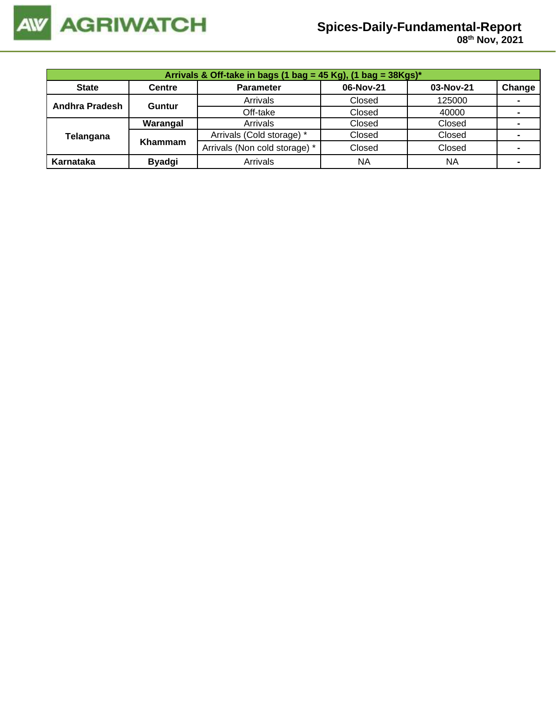

 **08 th Nov, 2021**

| Arrivals & Off-take in bags (1 bag = 45 Kg), (1 bag = 38Kgs)* |               |                               |           |           |                |  |  |  |  |
|---------------------------------------------------------------|---------------|-------------------------------|-----------|-----------|----------------|--|--|--|--|
| <b>State</b>                                                  | <b>Centre</b> | <b>Parameter</b>              | 06-Nov-21 | 03-Nov-21 | Change         |  |  |  |  |
| Andhra Pradesh                                                | <b>Guntur</b> | Arrivals                      | Closed    | 125000    | $\blacksquare$ |  |  |  |  |
|                                                               |               | Off-take                      | Closed    | 40000     |                |  |  |  |  |
|                                                               | Warangal      | Arrivals                      | Closed    | Closed    |                |  |  |  |  |
| Telangana                                                     | Khammam       | Arrivals (Cold storage) *     | Closed    | Closed    |                |  |  |  |  |
|                                                               |               | Arrivals (Non cold storage) * | Closed    | Closed    |                |  |  |  |  |
| Karnataka                                                     | <b>Byadgi</b> | Arrivals                      | NA        | <b>NA</b> | ۰              |  |  |  |  |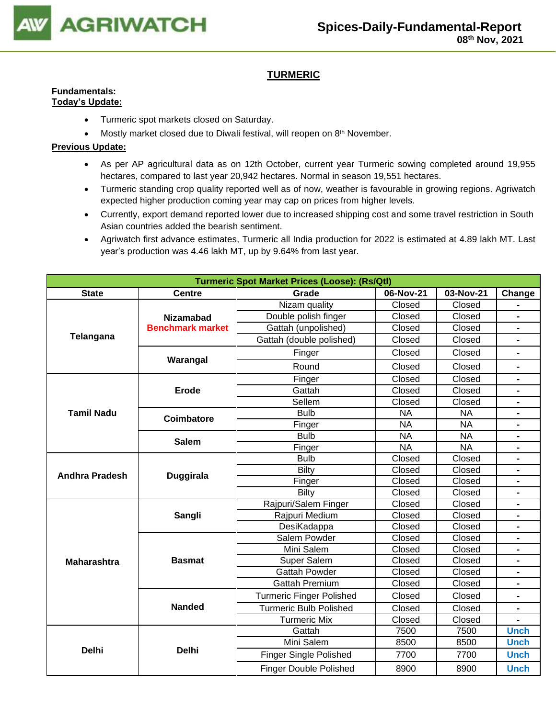

# **TURMERIC**

#### **Fundamentals: Today's Update:**

- Turmeric spot markets closed on Saturday.
- Mostly market closed due to Diwali festival, will reopen on 8<sup>th</sup> November.

- As per AP agricultural data as on 12th October, current year Turmeric sowing completed around 19,955 hectares, compared to last year 20,942 hectares. Normal in season 19,551 hectares.
- Turmeric standing crop quality reported well as of now, weather is favourable in growing regions. Agriwatch expected higher production coming year may cap on prices from higher levels.
- Currently, export demand reported lower due to increased shipping cost and some travel restriction in South Asian countries added the bearish sentiment.
- Agriwatch first advance estimates, Turmeric all India production for 2022 is estimated at 4.89 lakh MT. Last year's production was 4.46 lakh MT, up by 9.64% from last year.

|                       |                         | <b>Turmeric Spot Market Prices (Loose): (Rs/Qtl)</b> |           |           |                              |
|-----------------------|-------------------------|------------------------------------------------------|-----------|-----------|------------------------------|
| <b>State</b>          | <b>Centre</b>           | Grade                                                | 06-Nov-21 | 03-Nov-21 | Change                       |
|                       |                         | Nizam quality                                        | Closed    | Closed    |                              |
|                       | <b>Nizamabad</b>        | Double polish finger                                 | Closed    | Closed    | $\blacksquare$               |
| Telangana             | <b>Benchmark market</b> | Gattah (unpolished)                                  | Closed    | Closed    |                              |
|                       |                         | Gattah (double polished)                             | Closed    | Closed    |                              |
|                       | Warangal                | Finger                                               | Closed    | Closed    | $\blacksquare$               |
|                       |                         | Round                                                | Closed    | Closed    |                              |
|                       |                         | Finger                                               | Closed    | Closed    |                              |
|                       | Erode                   | Gattah                                               | Closed    | Closed    | $\blacksquare$               |
|                       |                         | Sellem                                               | Closed    | Closed    | $\blacksquare$               |
| <b>Tamil Nadu</b>     | Coimbatore              | <b>Bulb</b>                                          | <b>NA</b> | <b>NA</b> |                              |
|                       |                         | Finger                                               | <b>NA</b> | <b>NA</b> |                              |
|                       | <b>Salem</b>            | <b>Bulb</b>                                          | <b>NA</b> | <b>NA</b> | $\blacksquare$               |
|                       |                         | <b>NA</b><br>Finger                                  |           | <b>NA</b> |                              |
|                       |                         | <b>Bulb</b>                                          | Closed    | Closed    |                              |
| <b>Andhra Pradesh</b> | <b>Duggirala</b>        | <b>Bilty</b>                                         | Closed    | Closed    |                              |
|                       |                         | Finger                                               | Closed    | Closed    |                              |
|                       |                         | Bilty                                                | Closed    | Closed    | $\qquad \qquad \blacksquare$ |
|                       |                         | Rajpuri/Salem Finger                                 | Closed    | Closed    | $\qquad \qquad \blacksquare$ |
|                       | Sangli                  | Rajpuri Medium                                       | Closed    | Closed    |                              |
|                       |                         | DesiKadappa                                          | Closed    | Closed    |                              |
|                       |                         | Salem Powder                                         | Closed    | Closed    | $\blacksquare$               |
|                       |                         | Mini Salem                                           | Closed    | Closed    |                              |
| <b>Maharashtra</b>    | <b>Basmat</b>           | Super Salem                                          | Closed    | Closed    |                              |
|                       |                         | <b>Gattah Powder</b>                                 | Closed    | Closed    |                              |
|                       |                         | <b>Gattah Premium</b>                                | Closed    | Closed    |                              |
|                       |                         | <b>Turmeric Finger Polished</b>                      | Closed    | Closed    |                              |
|                       | <b>Nanded</b>           | <b>Turmeric Bulb Polished</b>                        | Closed    | Closed    | $\blacksquare$               |
|                       |                         | <b>Turmeric Mix</b>                                  | Closed    | Closed    |                              |
|                       |                         | Gattah                                               | 7500      | 7500      | <b>Unch</b>                  |
|                       |                         | Mini Salem                                           | 8500      | 8500      | <b>Unch</b>                  |
| <b>Delhi</b>          | <b>Delhi</b>            | <b>Finger Single Polished</b>                        | 7700      | 7700      | <b>Unch</b>                  |
|                       |                         | <b>Finger Double Polished</b>                        | 8900      | 8900      | <b>Unch</b>                  |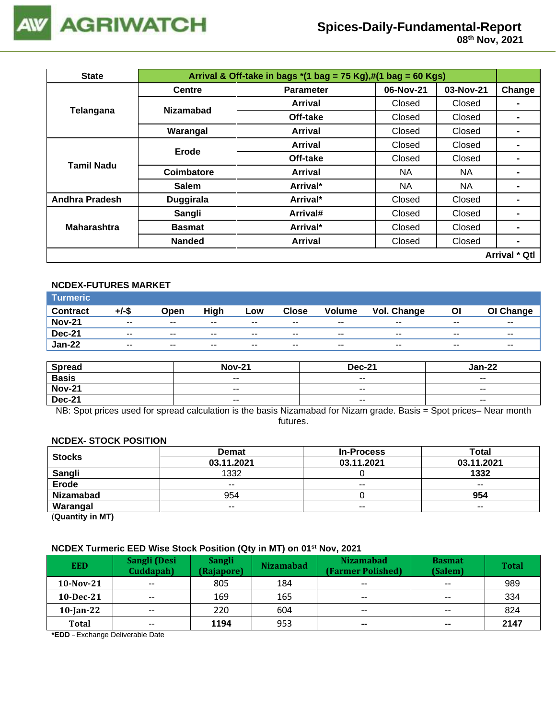

| <b>State</b>          |                  | Arrival & Off-take in bags $*(1 \text{ bag} = 75 \text{ Kg}), \#(1 \text{ bag} = 60 \text{ Kg})$ |           |           |                      |
|-----------------------|------------------|--------------------------------------------------------------------------------------------------|-----------|-----------|----------------------|
|                       | <b>Centre</b>    | <b>Parameter</b>                                                                                 | 06-Nov-21 | 03-Nov-21 | Change               |
| Telangana             | <b>Nizamabad</b> | <b>Arrival</b>                                                                                   | Closed    | Closed    |                      |
|                       |                  | Off-take                                                                                         | Closed    | Closed    |                      |
|                       | Warangal         | Arrival                                                                                          | Closed    | Closed    | $\blacksquare$       |
| <b>Tamil Nadu</b>     | Erode            | Arrival                                                                                          | Closed    | Closed    |                      |
|                       |                  | Off-take                                                                                         | Closed    | Closed    |                      |
|                       | Coimbatore       | Arrival                                                                                          | NA.       | NA        | $\blacksquare$       |
|                       | <b>Salem</b>     | Arrival*                                                                                         | <b>NA</b> | NA        |                      |
| <b>Andhra Pradesh</b> | Duggirala        | Arrival*                                                                                         | Closed    | Closed    |                      |
|                       | Sangli           | Arrival#                                                                                         | Closed    | Closed    | $\blacksquare$       |
| <b>Maharashtra</b>    | <b>Basmat</b>    | Arrival*                                                                                         | Closed    | Closed    | $\blacksquare$       |
|                       | <b>Nanded</b>    | <b>Arrival</b>                                                                                   | Closed    | Closed    |                      |
|                       |                  |                                                                                                  |           |           | <b>Arrival * Qtl</b> |

# **NCDEX-FUTURES MARKET**

| <b>Turmeric</b> |                          |               |                          |       |       |               |             |                          |           |
|-----------------|--------------------------|---------------|--------------------------|-------|-------|---------------|-------------|--------------------------|-----------|
| <b>Contract</b> | +/-\$                    | Open          | High                     | Low   | Close | <b>Volume</b> | Vol. Change | Οl                       | OI Change |
| <b>Nov-21</b>   | $\overline{\phantom{a}}$ | $\sim$ $\sim$ | $\overline{\phantom{a}}$ | $- -$ | $- -$ | $- -$         | $- -$       | $\overline{\phantom{a}}$ | $- -$     |
| <b>Dec-21</b>   | $\overline{\phantom{a}}$ | $\sim$ $\sim$ | $- -$                    | $- -$ | $- -$ | $- -$         | $- -$       | $\overline{\phantom{a}}$ | $- -$     |
| <b>Jan-22</b>   | $- -$                    | $- -$         | $- -$                    | $- -$ | $- -$ | $- -$         | $- -$       | $- -$                    | $- -$     |

| <b>Spread</b> | <b>Nov-21</b>            | <b>Dec-21</b>            | Jan-22                   |
|---------------|--------------------------|--------------------------|--------------------------|
| <b>Basis</b>  | $\sim$ $\sim$            | $\overline{\phantom{a}}$ | $- -$                    |
| <b>Nov-21</b> | $\overline{\phantom{a}}$ | $- -$                    | $\overline{\phantom{a}}$ |
| <b>Dec-21</b> | $\overline{\phantom{a}}$ | $\overline{\phantom{a}}$ | $\overline{\phantom{a}}$ |

NB: Spot prices used for spread calculation is the basis Nizamabad for Nizam grade. Basis = Spot prices– Near month futures.

#### **NCDEX- STOCK POSITION**

| <b>Stocks</b>    | <b>Demat</b> | <b>In-Process</b> | Total      |
|------------------|--------------|-------------------|------------|
|                  | 03.11.2021   | 03.11.2021        | 03.11.2021 |
| Sangli           | 1332         |                   | 1332       |
| <b>Erode</b>     | $- -$        | $\sim$ $\sim$     | $- -$      |
| <b>Nizamabad</b> | 954          |                   | 954        |
| Warangal         | $- -$        | $- -$             | $- -$      |

(**Quantity in MT)**

# **NCDEX Turmeric EED Wise Stock Position (Qty in MT) on 01st Nov, 2021**

| <b>EED</b>   | Sangli (Desi<br>Cuddapah) | <b>Sangli</b><br>(Rajapore) | <b>Nizamabad</b> | <b>Nizamabad</b><br>(Farmer Polished) | <b>Basmat</b><br>(Salem) | <b>Total</b> |
|--------------|---------------------------|-----------------------------|------------------|---------------------------------------|--------------------------|--------------|
| $10$ -Nov-21 | $\sim$ $\sim$             | 805                         | 184              | $- -$                                 | $-$                      | 989          |
| $10$ -Dec-21 | $- -$                     | 169                         | 165              | $- -$                                 | $- -$                    | 334          |
| $10$ -Jan-22 | $- -$                     | 220                         | 604              | $- -$                                 | $\sim$ $\sim$            | 824          |
| <b>Total</b> | $- -$                     | 1194                        | 953              | $\sim$                                | $\sim$                   | 2147         |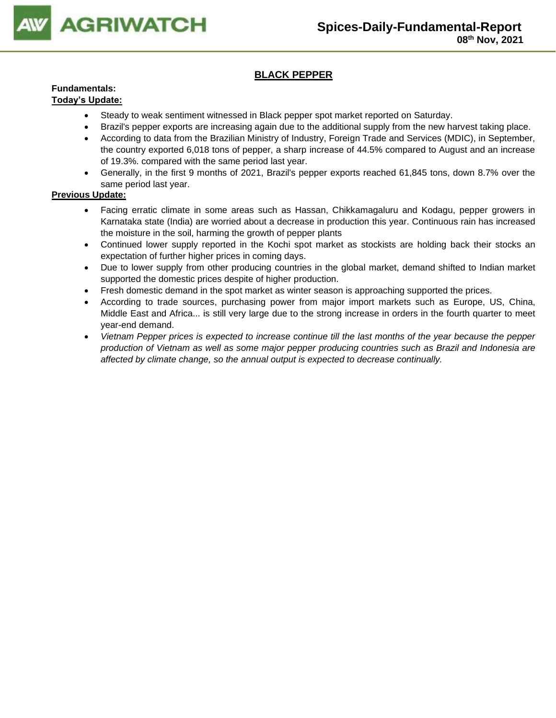

# **BLACK PEPPER**

# **Fundamentals:**

## **Today's Update:**

- Steady to weak sentiment witnessed in Black pepper spot market reported on Saturday.
- Brazil's pepper exports are increasing again due to the additional supply from the new harvest taking place.
- According to data from the Brazilian Ministry of Industry, Foreign Trade and Services (MDIC), in September, the country exported 6,018 tons of pepper, a sharp increase of 44.5% compared to August and an increase of 19.3%. compared with the same period last year.
- Generally, in the first 9 months of 2021, Brazil's pepper exports reached 61,845 tons, down 8.7% over the same period last year.

- Facing erratic climate in some areas such as Hassan, Chikkamagaluru and Kodagu, pepper growers in Karnataka state (India) are worried about a decrease in production this year. Continuous rain has increased the moisture in the soil, harming the growth of pepper plants
- Continued lower supply reported in the Kochi spot market as stockists are holding back their stocks an expectation of further higher prices in coming days.
- Due to lower supply from other producing countries in the global market, demand shifted to Indian market supported the domestic prices despite of higher production.
- Fresh domestic demand in the spot market as winter season is approaching supported the prices.
- According to trade sources, purchasing power from major import markets such as Europe, US, China, Middle East and Africa... is still very large due to the strong increase in orders in the fourth quarter to meet year-end demand.
- *Vietnam Pepper prices is expected to increase continue till the last months of the year because the pepper production of Vietnam as well as some major pepper producing countries such as Brazil and Indonesia are affected by climate change, so the annual output is expected to decrease continually.*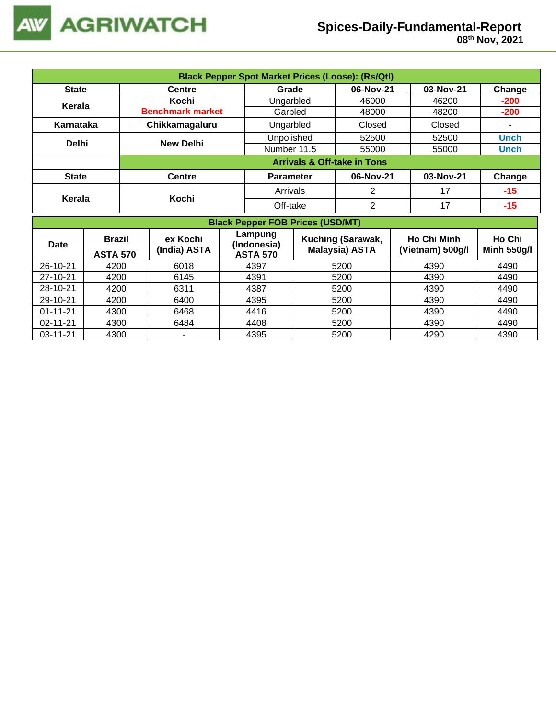

 **08 th Nov, 2021**

|                | <b>Black Pepper Spot Market Prices (Loose): (Rs/Qtl)</b> |  |                          |            |                                           |                |                                            |       |                                        |                              |
|----------------|----------------------------------------------------------|--|--------------------------|------------|-------------------------------------------|----------------|--------------------------------------------|-------|----------------------------------------|------------------------------|
| <b>State</b>   |                                                          |  | <b>Centre</b>            |            | Grade                                     | 06-Nov-21      |                                            |       | 03-Nov-21                              | Change                       |
|                |                                                          |  | Kochi                    |            | Ungarbled                                 |                | 46000                                      |       | 46200                                  | $-200$                       |
| Kerala         |                                                          |  | <b>Benchmark market</b>  |            | Garbled                                   |                | 48000                                      |       | 48200                                  | $-200$                       |
| Karnataka      |                                                          |  | Chikkamagaluru           |            | Ungarbled                                 |                | Closed                                     |       | Closed                                 |                              |
|                |                                                          |  |                          | Unpolished |                                           | 52500          |                                            | 52500 | <b>Unch</b>                            |                              |
| <b>Delhi</b>   |                                                          |  | <b>New Delhi</b>         |            | Number 11.5                               |                | 55000                                      |       | 55000                                  | <b>Unch</b>                  |
|                |                                                          |  |                          |            |                                           |                | <b>Arrivals &amp; Off-take in Tons</b>     |       |                                        |                              |
| <b>State</b>   |                                                          |  | <b>Centre</b>            |            | <b>Parameter</b>                          |                | 06-Nov-21                                  |       | 03-Nov-21                              | Change                       |
|                |                                                          |  |                          | Arrivals   |                                           | $\overline{2}$ |                                            | 17    | $-15$                                  |                              |
| Kerala         |                                                          |  | Kochi                    |            |                                           | Off-take       | $\overline{2}$                             |       | 17                                     | $-15$                        |
|                |                                                          |  |                          |            | <b>Black Pepper FOB Prices (USD/MT)</b>   |                |                                            |       |                                        |                              |
| Date           | <b>Brazil</b><br><b>ASTA 570</b>                         |  | ex Kochi<br>(India) ASTA |            | Lampung<br>(Indonesia)<br><b>ASTA 570</b> |                | Kuching (Sarawak,<br><b>Malaysia) ASTA</b> |       | <b>Ho Chi Minh</b><br>(Vietnam) 500g/l | Ho Chi<br><b>Minh 550g/l</b> |
| 26-10-21       | 4200                                                     |  | 6018                     |            | 4397                                      |                | 5200                                       |       | 4390                                   | 4490                         |
| 27-10-21       | 4200                                                     |  | 6145                     |            | 4391                                      |                | 5200                                       | 4390  |                                        | 4490                         |
| 28-10-21       | 4200                                                     |  | 6311                     |            | 4387                                      |                | 5200                                       |       | 4390                                   | 4490                         |
| 29-10-21       | 4200                                                     |  | 6400                     |            | 4395                                      |                | 5200                                       |       | 4390                                   | 4490                         |
| $01 - 11 - 21$ | 4300                                                     |  | 6468                     |            | 4416                                      |                | 5200                                       |       | 4390                                   | 4490                         |
| $02 - 11 - 21$ | 4300                                                     |  | 6484                     |            | 4408                                      |                | 5200                                       |       | 4390                                   | 4490                         |
| 03-11-21       | 4300                                                     |  |                          |            | 4395                                      |                | 5200                                       |       | 4290                                   | 4390                         |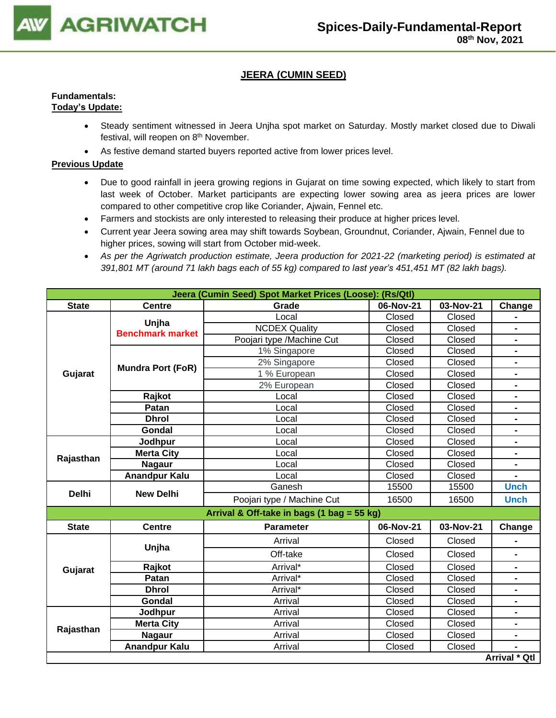

# **JEERA (CUMIN SEED)**

### **Fundamentals: Today's Update:**

- Steady sentiment witnessed in Jeera Unjha spot market on Saturday. Mostly market closed due to Diwali festival, will reopen on 8<sup>th</sup> November.
- As festive demand started buyers reported active from lower prices level.

- Due to good rainfall in jeera growing regions in Gujarat on time sowing expected, which likely to start from last week of October. Market participants are expecting lower sowing area as jeera prices are lower compared to other competitive crop like Coriander, Ajwain, Fennel etc.
- Farmers and stockists are only interested to releasing their produce at higher prices level.
- Current year Jeera sowing area may shift towards Soybean, Groundnut, Coriander, Ajwain, Fennel due to higher prices, sowing will start from October mid-week.
- *As per the Agriwatch production estimate, Jeera production for 2021-22 (marketing period) is estimated at 391,801 MT (around 71 lakh bags each of 55 kg) compared to last year's 451,451 MT (82 lakh bags).*

|              |                          | Jeera (Cumin Seed) Spot Market Prices (Loose): (Rs/Qtl) |           |           |                          |
|--------------|--------------------------|---------------------------------------------------------|-----------|-----------|--------------------------|
| <b>State</b> | <b>Centre</b>            | Grade                                                   | 06-Nov-21 | 03-Nov-21 | Change                   |
|              | Unjha                    | Local                                                   | Closed    | Closed    |                          |
|              | <b>Benchmark market</b>  | <b>NCDEX Quality</b>                                    | Closed    | Closed    |                          |
|              |                          | Poojari type /Machine Cut                               | Closed    | Closed    | $\blacksquare$           |
|              |                          | 1% Singapore                                            | Closed    | Closed    | Ξ.                       |
|              | <b>Mundra Port (FoR)</b> | 2% Singapore                                            | Closed    | Closed    | $\blacksquare$           |
| Gujarat      |                          | 1 % European                                            | Closed    | Closed    |                          |
|              |                          | 2% European                                             | Closed    | Closed    | $\blacksquare$           |
|              | Rajkot                   | Local                                                   | Closed    | Closed    | $\blacksquare$           |
|              | Patan                    | Local                                                   | Closed    | Closed    | Ξ.                       |
|              | <b>Dhrol</b>             | Local                                                   | Closed    | Closed    | $\blacksquare$           |
|              | Gondal                   | Local                                                   | Closed    | Closed    | $\blacksquare$           |
|              | Jodhpur                  | Local                                                   | Closed    | Closed    | $\overline{\phantom{0}}$ |
| Rajasthan    | <b>Merta City</b>        | Local                                                   | Closed    | Closed    | $\blacksquare$           |
|              | <b>Nagaur</b>            | Local                                                   | Closed    | Closed    |                          |
|              | Anandpur Kalu            | Local                                                   | Closed    | Closed    |                          |
| <b>Delhi</b> | <b>New Delhi</b>         | Ganesh                                                  | 15500     | 15500     | <b>Unch</b>              |
|              |                          | Poojari type / Machine Cut                              | 16500     | 16500     | <b>Unch</b>              |
|              |                          | Arrival & Off-take in bags (1 bag = 55 kg)              |           |           |                          |
| <b>State</b> | <b>Centre</b>            | <b>Parameter</b>                                        | 06-Nov-21 | 03-Nov-21 | Change                   |
|              |                          | Arrival                                                 | Closed    | Closed    |                          |
|              | Unjha                    | Off-take                                                | Closed    | Closed    |                          |
| Gujarat      | Rajkot                   | Arrival*                                                | Closed    | Closed    | $\blacksquare$           |
|              | Patan                    | Arrival*                                                | Closed    | Closed    | Ξ.                       |
|              | <b>Dhrol</b>             | Arrival*                                                | Closed    | Closed    | $\blacksquare$           |
|              | Gondal                   | Arrival                                                 | Closed    | Closed    | $\blacksquare$           |
|              | Jodhpur                  | Arrival                                                 | Closed    | Closed    | Ξ.                       |
|              | <b>Merta City</b>        | Arrival                                                 | Closed    | Closed    | Ξ.                       |
| Rajasthan    | <b>Nagaur</b>            | Arrival                                                 | Closed    | Closed    |                          |
|              | <b>Anandpur Kalu</b>     | Arrival                                                 | Closed    | Closed    |                          |
|              |                          |                                                         |           |           | Arrival * Qtl            |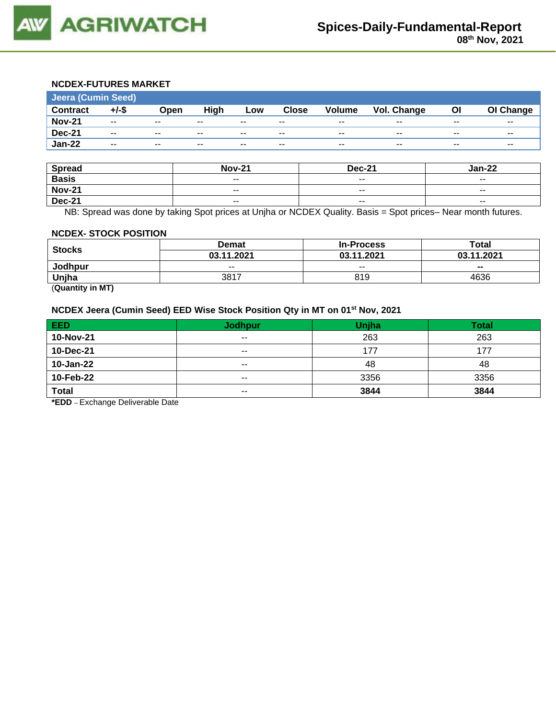

# **NCDEX-FUTURES MARKET**

| Jeera (Cumin Seed) |                          |               |       |       |              |                          |             |       |           |  |
|--------------------|--------------------------|---------------|-------|-------|--------------|--------------------------|-------------|-------|-----------|--|
| <b>Contract</b>    | $+/-$ \$                 | Open          | High  | Low   | <b>Close</b> | <b>Volume</b>            | Vol. Change | ΟI    | OI Change |  |
| <b>Nov-21</b>      | $\sim$ $\sim$            | $- -$         | $- -$ | $- -$ | $- -$        | $- -$                    | $- -$       | $- -$ | $- -$     |  |
| <b>Dec-21</b>      | $- -$                    | $\sim$ $\sim$ | $- -$ | $- -$ | $- -$        | $\overline{\phantom{a}}$ | $- -$       | $- -$ | $- -$     |  |
| <b>Jan-22</b>      | $\overline{\phantom{a}}$ | $\sim$ $\sim$ | $- -$ | $- -$ | $- -$        | $\overline{\phantom{a}}$ | $- -$       | $- -$ | $- -$     |  |

| <b>Spread</b> | <b>Nov-21</b> | <b>Dec-21</b>            | Jan-22                   |
|---------------|---------------|--------------------------|--------------------------|
| <b>Basis</b>  | $- -$         | $- -$                    | $- -$                    |
| <b>Nov-21</b> | $- -$         | $\sim$ $\sim$            | $- -$                    |
| <b>Dec-21</b> | $- -$         | $\overline{\phantom{a}}$ | $\overline{\phantom{a}}$ |

NB: Spread was done by taking Spot prices at Unjha or NCDEX Quality. Basis = Spot prices– Near month futures.

#### **NCDEX- STOCK POSITION**

|               | Demat      | <b>In-Process</b> | Total      |  |
|---------------|------------|-------------------|------------|--|
| <b>Stocks</b> | 03.11.2021 | 03.11.2021        | 03.11.2021 |  |
| Jodhpur       | $- -$      | $- -$             | $- -$      |  |
| Unjha         | 3817       | 819               | 4636       |  |

(**Quantity in MT)**

# **NCDEX Jeera (Cumin Seed) EED Wise Stock Position Qty in MT on 01st Nov, 2021**

| <b>EED</b>   | <b>Jodhpur</b> | Unjha | <b>Total</b> |
|--------------|----------------|-------|--------------|
| 10-Nov-21    | $\sim$ $\sim$  | 263   | 263          |
| 10-Dec-21    | $- -$          | 177   | 177          |
| 10-Jan-22    | $- -$          | 48    | 48           |
| 10-Feb-22    | $- -$          | 3356  | 3356         |
| <b>Total</b> | $- -$          | 3844  | 3844         |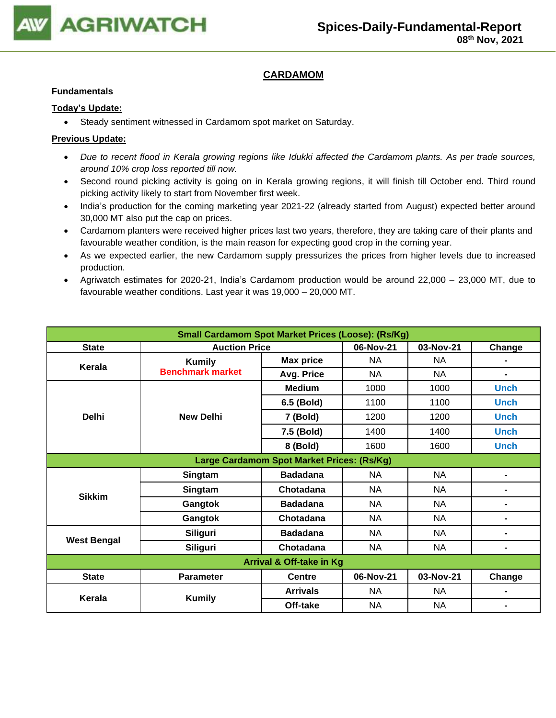

# **CARDAMOM**

### **Fundamentals**

### **Today's Update:**

• Steady sentiment witnessed in Cardamom spot market on Saturday.

- *Due to recent flood in Kerala growing regions like Idukki affected the Cardamom plants. As per trade sources, around 10% crop loss reported till now.*
- Second round picking activity is going on in Kerala growing regions, it will finish till October end. Third round picking activity likely to start from November first week.
- India's production for the coming marketing year 2021-22 (already started from August) expected better around 30,000 MT also put the cap on prices.
- Cardamom planters were received higher prices last two years, therefore, they are taking care of their plants and favourable weather condition, is the main reason for expecting good crop in the coming year.
- As we expected earlier, the new Cardamom supply pressurizes the prices from higher levels due to increased production.
- Agriwatch estimates for 2020-21, India's Cardamom production would be around 22,000 23,000 MT, due to favourable weather conditions. Last year it was 19,000 – 20,000 MT.

| <b>Small Cardamom Spot Market Prices (Loose): (Rs/Kg)</b> |                                            |                  |           |           |                |  |  |  |
|-----------------------------------------------------------|--------------------------------------------|------------------|-----------|-----------|----------------|--|--|--|
| <b>State</b>                                              | <b>Auction Price</b>                       |                  | 06-Nov-21 | 03-Nov-21 | Change         |  |  |  |
| Kerala                                                    | <b>Kumily</b>                              | <b>Max price</b> | NA        | NA        |                |  |  |  |
|                                                           | <b>Benchmark market</b>                    | Avg. Price       | <b>NA</b> | NA        | $\blacksquare$ |  |  |  |
|                                                           |                                            | <b>Medium</b>    | 1000      | 1000      | <b>Unch</b>    |  |  |  |
|                                                           |                                            | 6.5 (Bold)       | 1100      | 1100      | <b>Unch</b>    |  |  |  |
| <b>Delhi</b>                                              | <b>New Delhi</b>                           | 7 (Bold)         | 1200      | 1200      | <b>Unch</b>    |  |  |  |
|                                                           |                                            | 7.5 (Bold)       | 1400      | 1400      | <b>Unch</b>    |  |  |  |
|                                                           |                                            | 8 (Bold)         | 1600      | 1600      | <b>Unch</b>    |  |  |  |
|                                                           | Large Cardamom Spot Market Prices: (Rs/Kg) |                  |           |           |                |  |  |  |
|                                                           | Singtam                                    | <b>Badadana</b>  | NA        | NA        | $\blacksquare$ |  |  |  |
|                                                           | Singtam                                    | Chotadana        | NA        | NA        | $\blacksquare$ |  |  |  |
| <b>Sikkim</b>                                             | Gangtok                                    | <b>Badadana</b>  | NA        | <b>NA</b> | $\blacksquare$ |  |  |  |
|                                                           | Gangtok                                    | Chotadana        | NA        | NA        | $\blacksquare$ |  |  |  |
|                                                           | <b>Siliguri</b>                            | <b>Badadana</b>  | <b>NA</b> | <b>NA</b> | $\blacksquare$ |  |  |  |
| <b>West Bengal</b>                                        | <b>Siliguri</b>                            | Chotadana        | <b>NA</b> | <b>NA</b> | $\blacksquare$ |  |  |  |
| <b>Arrival &amp; Off-take in Kg</b>                       |                                            |                  |           |           |                |  |  |  |
| <b>State</b>                                              | <b>Parameter</b>                           | <b>Centre</b>    | 06-Nov-21 | 03-Nov-21 | Change         |  |  |  |
| Kerala                                                    |                                            | <b>Arrivals</b>  | NA        | NA.       | -              |  |  |  |
|                                                           | <b>Kumily</b>                              | Off-take         | <b>NA</b> | <b>NA</b> |                |  |  |  |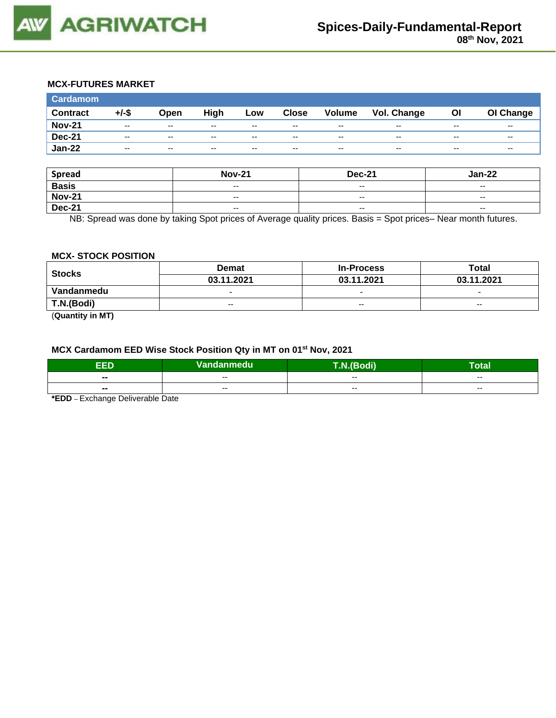

## **MCX-FUTURES MARKET**

| <b>Cardamom</b> |                          |                          |       |                          |              |                          |             |                          |                          |
|-----------------|--------------------------|--------------------------|-------|--------------------------|--------------|--------------------------|-------------|--------------------------|--------------------------|
| <b>Contract</b> | +/-\$                    | Open                     | High  | Low                      | <b>Close</b> | <b>Volume</b>            | Vol. Change | OI                       | OI Change                |
| <b>Nov-21</b>   | $- -$                    | $\sim$ $\sim$            | $- -$ | $- -$                    | $- -$        | $- -$                    | $- -$       | $- -$                    | $\overline{\phantom{a}}$ |
| <b>Dec-21</b>   | $\overline{\phantom{a}}$ | $\overline{\phantom{a}}$ | $- -$ | $\overline{\phantom{a}}$ | $-$          | $\overline{\phantom{a}}$ | $- -$       | $\overline{\phantom{a}}$ | $\overline{\phantom{a}}$ |
| <b>Jan-22</b>   | $- -$                    | $- -$                    | $- -$ | $- -$                    | $- -$        | $- -$                    | $- -$       | $\overline{\phantom{a}}$ | $\overline{\phantom{a}}$ |

| <b>Spread</b> | <b>Nov-21</b>                                  | <b>Dec-21</b>            | <b>Jan-22</b>            |
|---------------|------------------------------------------------|--------------------------|--------------------------|
| <b>Basis</b>  | $\hspace{0.1mm}-\hspace{0.1mm}-\hspace{0.1mm}$ | $\overline{\phantom{a}}$ | $\overline{\phantom{a}}$ |
| <b>Nov-21</b> | $-$                                            | $- -$                    | $\overline{\phantom{a}}$ |
| <b>Dec-21</b> | $\overline{\phantom{a}}$                       | $-$                      | $\overline{\phantom{a}}$ |

NB: Spread was done by taking Spot prices of Average quality prices. Basis = Spot prices– Near month futures.

#### **MCX- STOCK POSITION**

| <b>Stocks</b> | <b>Demat</b>             | <b>In-Process</b>        | Total                    |  |
|---------------|--------------------------|--------------------------|--------------------------|--|
|               | 03.11.2021               | 03.11.2021               | 03.11.2021               |  |
| Vandanmedu    | $\overline{\phantom{0}}$ | $\overline{\phantom{0}}$ | $\overline{\phantom{0}}$ |  |
| T.N.(Bodi)    | $- -$                    | $-$                      | $- -$                    |  |
|               |                          |                          |                          |  |

(**Quantity in MT)**

# **MCX Cardamom EED Wise Stock Position Qty in MT on 01st Nov, 2021**

| ccn            | Vandanmedu | <b><i>PERS</i></b> | -<br>Гоtal    |
|----------------|------------|--------------------|---------------|
| $\blacksquare$ | --         | --                 | $- -$         |
| $\blacksquare$ | $- -$      | $- -$              | $\sim$ $\sim$ |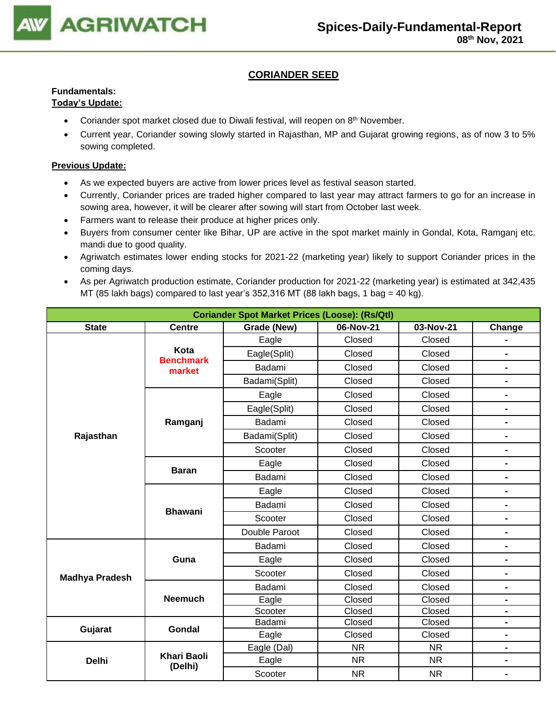

# **CORIANDER SEED**

# **Fundamentals:**

# **Today's Update:**

- Coriander spot market closed due to Diwali festival, will reopen on  $8<sup>th</sup>$  November.
- Current year, Coriander sowing slowly started in Rajasthan, MP and Gujarat growing regions, as of now 3 to 5% sowing completed.

- As we expected buyers are active from lower prices level as festival season started.
- Currently, Coriander prices are traded higher compared to last year may attract farmers to go for an increase in sowing area, however, it will be clearer after sowing will start from October last week.
- Farmers want to release their produce at higher prices only.
- Buyers from consumer center like Bihar, UP are active in the spot market mainly in Gondal, Kota, Ramganj etc. mandi due to good quality.
- Agriwatch estimates lower ending stocks for 2021-22 (marketing year) likely to support Coriander prices in the coming days.
- As per Agriwatch production estimate, Coriander production for 2021-22 (marketing year) is estimated at 342,435 MT (85 lakh bags) compared to last year's  $352,316$  MT (88 lakh bags, 1 bag = 40 kg).

| <b>Coriander Spot Market Prices (Loose): (Rs/Qtl)</b> |                          |               |           |           |                              |  |  |
|-------------------------------------------------------|--------------------------|---------------|-----------|-----------|------------------------------|--|--|
| <b>State</b>                                          | <b>Centre</b>            | Grade (New)   | 06-Nov-21 | 03-Nov-21 | Change                       |  |  |
|                                                       |                          | Eagle         | Closed    | Closed    |                              |  |  |
|                                                       | Kota<br><b>Benchmark</b> | Eagle(Split)  | Closed    | Closed    | $\blacksquare$               |  |  |
|                                                       | market                   | Badami        | Closed    | Closed    | $\qquad \qquad \blacksquare$ |  |  |
|                                                       |                          | Badami(Split) | Closed    | Closed    | $\qquad \qquad \blacksquare$ |  |  |
|                                                       |                          | Eagle         | Closed    | Closed    | $\blacksquare$               |  |  |
|                                                       |                          | Eagle(Split)  | Closed    | Closed    | $\blacksquare$               |  |  |
|                                                       | Ramganj                  | Badami        | Closed    | Closed    | $\blacksquare$               |  |  |
| Rajasthan                                             |                          | Badami(Split) | Closed    | Closed    | $\blacksquare$               |  |  |
|                                                       |                          | Scooter       | Closed    | Closed    | $\qquad \qquad \blacksquare$ |  |  |
|                                                       |                          | Eagle         | Closed    | Closed    | $\blacksquare$               |  |  |
|                                                       | <b>Baran</b>             | Badami        | Closed    | Closed    | $\qquad \qquad \blacksquare$ |  |  |
|                                                       |                          | Eagle         | Closed    | Closed    | $\blacksquare$               |  |  |
|                                                       | <b>Bhawani</b>           | Badami        | Closed    | Closed    | $\blacksquare$               |  |  |
|                                                       |                          | Scooter       | Closed    | Closed    |                              |  |  |
|                                                       |                          | Double Paroot | Closed    | Closed    | $\blacksquare$               |  |  |
|                                                       |                          | Badami        | Closed    | Closed    | $\blacksquare$               |  |  |
|                                                       | Guna                     | Eagle         | Closed    | Closed    | $\blacksquare$               |  |  |
| <b>Madhya Pradesh</b>                                 |                          | Scooter       | Closed    | Closed    | $\blacksquare$               |  |  |
|                                                       |                          | Badami        | Closed    | Closed    | $\qquad \qquad \blacksquare$ |  |  |
|                                                       | <b>Neemuch</b>           | Eagle         | Closed    | Closed    | $\blacksquare$               |  |  |
|                                                       |                          | Scooter       | Closed    | Closed    | $\blacksquare$               |  |  |
| Gujarat                                               | Gondal                   | Badami        | Closed    | Closed    | $\blacksquare$               |  |  |
|                                                       |                          | Eagle         | Closed    | Closed    | $\blacksquare$               |  |  |
|                                                       |                          | Eagle (Dal)   | <b>NR</b> | <b>NR</b> | $\blacksquare$               |  |  |
| <b>Delhi</b>                                          | Khari Baoli<br>(Delhi)   | Eagle         | <b>NR</b> | NR.       | $\blacksquare$               |  |  |
|                                                       |                          | Scooter       | <b>NR</b> | <b>NR</b> | $\blacksquare$               |  |  |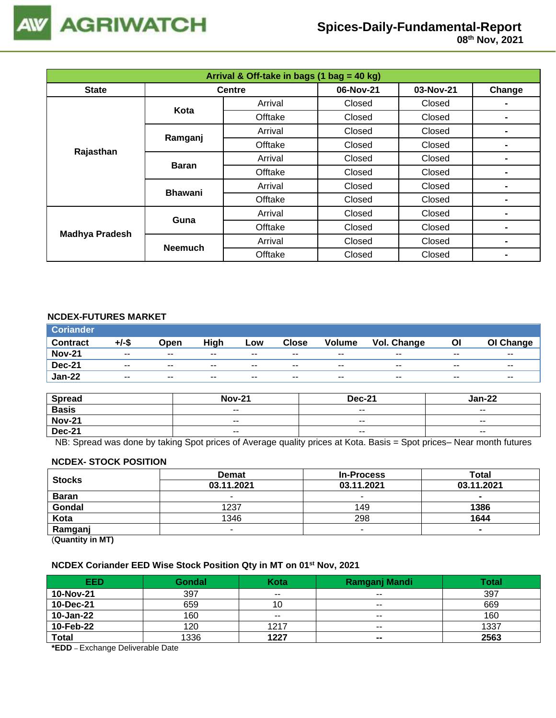

| Arrival & Off-take in bags (1 bag = 40 kg) |                |               |           |           |                |  |  |
|--------------------------------------------|----------------|---------------|-----------|-----------|----------------|--|--|
| <b>State</b>                               |                | <b>Centre</b> | 06-Nov-21 | 03-Nov-21 | Change         |  |  |
|                                            | Kota           | Arrival       | Closed    | Closed    |                |  |  |
|                                            |                | Offtake       | Closed    | Closed    |                |  |  |
|                                            | Ramganj        | Arrival       | Closed    | Closed    |                |  |  |
|                                            |                | Offtake       | Closed    | Closed    |                |  |  |
| Rajasthan                                  | <b>Baran</b>   | Arrival       | Closed    | Closed    |                |  |  |
|                                            |                | Offtake       | Closed    | Closed    |                |  |  |
|                                            | <b>Bhawani</b> | Arrival       | Closed    | Closed    |                |  |  |
|                                            |                | Offtake       | Closed    | Closed    | $\blacksquare$ |  |  |
| <b>Madhya Pradesh</b>                      | Guna           | Arrival       | Closed    | Closed    |                |  |  |
|                                            |                | Offtake       | Closed    | Closed    |                |  |  |
|                                            | <b>Neemuch</b> | Arrival       | Closed    | Closed    | $\blacksquare$ |  |  |
|                                            |                | Offtake       | Closed    | Closed    |                |  |  |

# **NCDEX-FUTURES MARKET**

| <b>Coriander</b> |       |               |       |       |       |               |             |       |           |
|------------------|-------|---------------|-------|-------|-------|---------------|-------------|-------|-----------|
| <b>Contract</b>  | +/-\$ | Open          | High  | Low   | Close | <b>Volume</b> | Vol. Change | ΟI    | OI Change |
| <b>Nov-21</b>    | $- -$ | $\sim$ $\sim$ | $- -$ | $- -$ | $- -$ | $- -$         | $- -$       | $- -$ | $- -$     |
| <b>Dec-21</b>    | $- -$ | $- -$         | $- -$ | $- -$ | $- -$ | $- -$         | $- -$       | $- -$ | $- -$     |
| <b>Jan-22</b>    | $- -$ | $- -$         | $- -$ | $- -$ | $- -$ | $- -$         | $- -$       | $- -$ | $- -$     |

| <b>Spread</b> | <b>Nov-21</b> | <b>Dec-21</b>            | Jan-22                   |
|---------------|---------------|--------------------------|--------------------------|
| <b>Basis</b>  | $ -$          | $\overline{\phantom{a}}$ | $\overline{\phantom{a}}$ |
| <b>Nov-21</b> | $- -$         | $- -$                    | $- -$                    |
| <b>Dec-21</b> | $ -$          | $\sim$ $\sim$            | $\overline{\phantom{a}}$ |

NB: Spread was done by taking Spot prices of Average quality prices at Kota. Basis = Spot prices– Near month futures

#### **NCDEX- STOCK POSITION**

| <b>Stocks</b> | <b>Demat</b> | <b>In-Process</b> | Total      |
|---------------|--------------|-------------------|------------|
|               | 03.11.2021   | 03.11.2021        | 03.11.2021 |
| <b>Baran</b>  |              |                   |            |
| Gondal        | 1237         | 149               | 1386       |
| Kota          | 1346         | 298               | 1644       |
| Ramganj       |              | -                 |            |
| (n1N)         |              |                   |            |

(**Quantity in MT)**

### **NCDEX Coriander EED Wise Stock Position Qty in MT on 01st Nov, 2021**

| <b>EED</b>   | <b>Gondal</b> | Kota  | <b>Ramganj Mandi</b>     | <b>Total</b> |
|--------------|---------------|-------|--------------------------|--------------|
| 10-Nov-21    | 397           | $- -$ | $- -$                    | 397          |
| 10-Dec-21    | 659           | 10    | $\overline{\phantom{m}}$ | 669          |
| 10-Jan-22    | 160           | $- -$ | $- -$                    | 160          |
| 10-Feb-22    | 120           | 1217  | $- -$                    | 1337         |
| <b>Total</b> | 1336          | 1227  | $\blacksquare$           | 2563         |